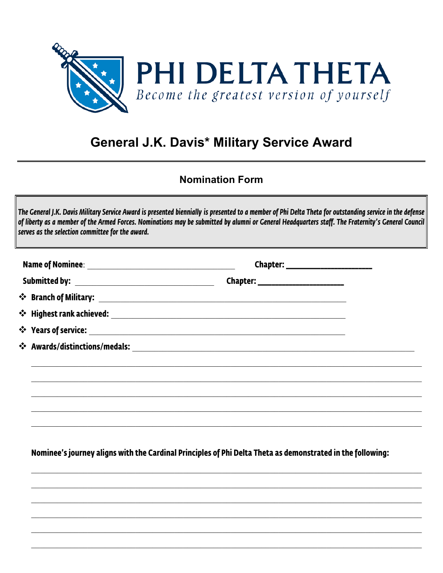

## **General J.K. Davis\* Military Service Award**

## **Nomination Form**

| Chapter: ________________________ |  |
|-----------------------------------|--|
|                                   |  |
|                                   |  |
|                                   |  |
|                                   |  |
|                                   |  |
|                                   |  |
|                                   |  |

Nominee's journey aligns with the Cardinal Principles of Phi Delta Theta as demonstrated in the following: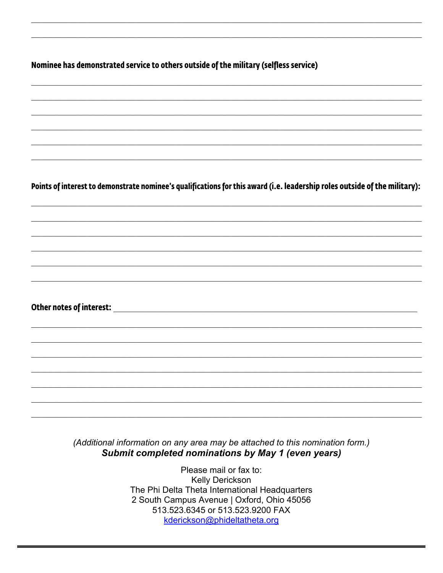Nominee has demonstrated service to others outside of the military (selfless service)

Points of interest to demonstrate nominee's qualifications for this award (i.e. leadership roles outside of the military):

Other notes of interest: the contract of the contract of the contract of the contract of the contract of the contract of the contract of the contract of the contract of the contract of the contract of the contract of the c

(Additional information on any area may be attached to this nomination form.) Submit completed nominations by May 1 (even years)

> Please mail or fax to: Kelly Derickson The Phi Delta Theta International Headquarters 2 South Campus Avenue | Oxford, Ohio 45056 513.523.6345 or 513.523.9200 FAX kderickson@phideltatheta.org